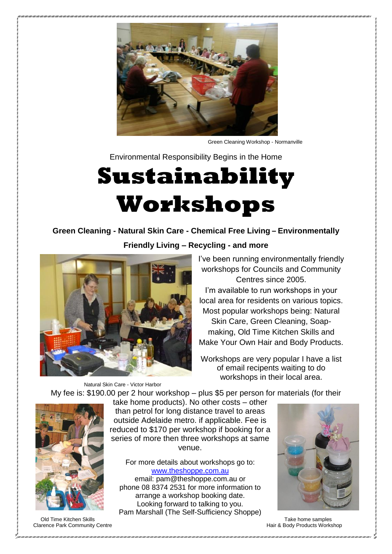

Green Cleaning Workshop - Normanville

Environmental Responsibility Begins in the Home

# **Sustainability Workshops**

**Green Cleaning - Natural Skin Care - Chemical Free Living – Environmentally** 

**Friendly Living – Recycling - and more**



Natural Skin Care - Victor Harbor

I've been running environmentally friendly workshops for Councils and Community Centres since 2005. I'm available to run workshops in your

local area for residents on various topics. Most popular workshops being: Natural Skin Care, Green Cleaning, Soapmaking, Old Time Kitchen Skills and Make Your Own Hair and Body Products.

Workshops are very popular I have a list of email recipents waiting to do workshops in their local area.

My fee is: \$190.00 per 2 hour workshop – plus \$5 per person for materials (for their



take home products). No other costs – other than petrol for long distance travel to areas outside Adelaide metro. if applicable. Fee is reduced to \$170 per workshop if booking for a series of more then three workshops at same venue.

For more details about workshops go to: [www.theshoppe.com.au](http://theshoppe.com.au/?page_id=73) email: pam@theshoppe.com.au or phone 08 8374 2531 for more information to arrange a workshop booking date. Looking forward to talking to you. Pam Marshall (The Self-Sufficiency Shoppe)



Old Time Kitchen Skills Take home samples of the Take home samples of the Take home samples Clarence Park Community Centre **Hair & Body Products Workshop** Clarence Park Community Centre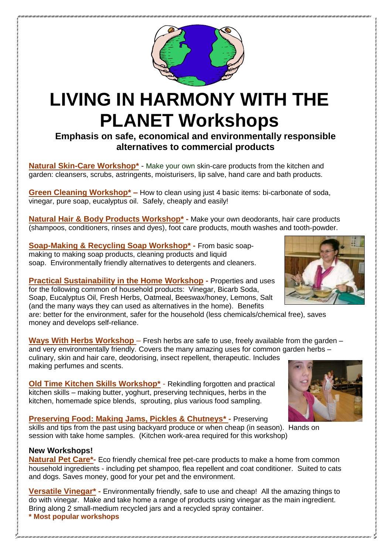

## **LIVING IN HARMONY WITH THE PLANET Workshops**

**Emphasis on safe, economical and environmentally responsible alternatives to commercial products**

**Natural Skin-Care Workshop**<sup>\*</sup> - Make your own skin-care products from the kitchen and garden: cleansers, scrubs, astringents, moisturisers, lip salve, hand care and bath products.

**Green Cleaning Workshop\* –** How to clean using just 4 basic items: bi-carbonate of soda, vinegar, pure soap, eucalyptus oil. Safely, cheaply and easily!

**Natural Hair & Body Products Workshop\* -** Make your own deodorants, hair care products (shampoos, conditioners, rinses and dyes), foot care products, mouth washes and tooth-powder.

**Soap-Making & Recycling Soap Workshop\* -** From basic soapmaking to making soap products, cleaning products and liquid soap. Environmentally friendly alternatives to detergents and cleaners.

**Practical Sustainability in the Home Workshop -** Properties and uses for the following common of household products: Vinegar, Bicarb Soda, Soap, Eucalyptus Oil, Fresh Herbs, Oatmeal, Beeswax/honey, Lemons, Salt (and the many ways they can used as alternatives in the home). Benefits

are: better for the environment, safer for the household (less chemicals/chemical free), saves money and develops self-reliance.

**Ways With Herbs Workshop** – Fresh herbs are safe to use, freely available from the garden – and very environmentally friendly. Covers the many amazing uses for common garden herbs – culinary, skin and hair care, deodorising, insect repellent, therapeutic. Includes making perfumes and scents.

**Old Time Kitchen Skills Workshop\*** - Rekindling forgotten and practical kitchen skills – making butter, yoghurt, preserving techniques, herbs in the kitchen, homemade spice blends, sprouting, plus various food sampling.

#### **Preserving Food: Making Jams, Pickles & Chutneys\* -** Preserving

skills and tips from the past using backyard produce or when cheap (in season). Hands on session with take home samples. (Kitchen work-area required for this workshop)

#### **New Workshops!**

**Natural Pet Care\*-** Eco friendly chemical free pet-care products to make a home from common household ingredients - including pet shampoo, flea repellent and coat conditioner. Suited to cats and dogs. Saves money, good for your pet and the environment.

**Versatile Vinegar\* -** Environmentally friendly, safe to use and cheap! All the amazing things to do with vinegar. Make and take home a range of products using vinegar as the main ingredient. Bring along 2 small-medium recycled jars and a recycled spray container. **\* Most popular workshops**